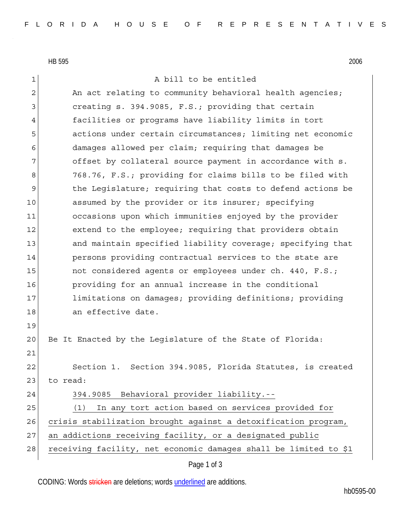HB 595 2006

1 a bill to be entitled

2 An act relating to community behavioral health agencies; 3 3 creating s. 394.9085, F.S.; providing that certain 4 facilities or programs have liability limits in tort 5 actions under certain circumstances; limiting net economic 6 damages allowed per claim; requiring that damages be 7 offset by collateral source payment in accordance with s. 8 768.76, F.S.; providing for claims bills to be filed with 9 the Legislature; requiring that costs to defend actions be 10 assumed by the provider or its insurer; specifying 11 occasions upon which immunities enjoyed by the provider 12 extend to the employee; requiring that providers obtain 13 and maintain specified liability coverage; specifying that 14 persons providing contractual services to the state are 15 15 not considered agents or employees under ch. 440, F.S.; 16 providing for an annual increase in the conditional 17 limitations on damages; providing definitions; providing 18 an effective date. 19 20 Be It Enacted by the Legislature of the State of Florida: 21 22 Section 1. Section 394.9085, Florida Statutes, is created 23 to read: 24 394.9085 Behavioral provider liability.-- 25 (1) In any tort action based on services provided for 26 crisis stabilization brought against a detoxification program, 27 an addictions receiving facility, or a designated public 28 receiving facility, net economic damages shall be limited to \$1

Page 1 of 3

CODING: Words stricken are deletions; words underlined are additions.

hb0595-00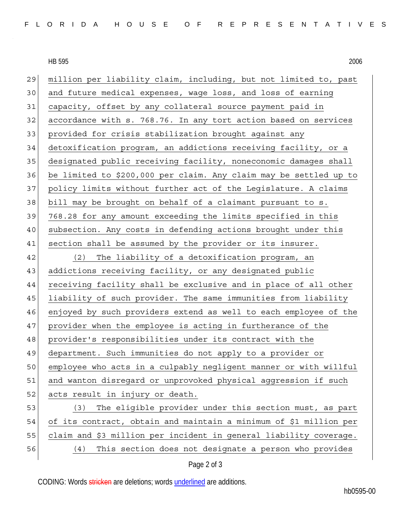HB 595 2006

29 million per liability claim, including, but not limited to, past 30 and future medical expenses, wage loss, and loss of earning 31 capacity, offset by any collateral source payment paid in 32 accordance with s. 768.76. In any tort action based on services 33 provided for crisis stabilization brought against any 34 detoxification program, an addictions receiving facility, or a 35 designated public receiving facility, noneconomic damages shall 36 be limited to \$200,000 per claim. Any claim may be settled up to 37 policy limits without further act of the Legislature. A claims 38 bill may be brought on behalf of a claimant pursuant to s. 39 768.28 for any amount exceeding the limits specified in this 40 subsection. Any costs in defending actions brought under this 41 section shall be assumed by the provider or its insurer. 42 (2) The liability of a detoxification program, an 43 addictions receiving facility, or any designated public 44 receiving facility shall be exclusive and in place of all other 45 liability of such provider. The same immunities from liability 46 enjoyed by such providers extend as well to each employee of the 47 provider when the employee is acting in furtherance of the 48 provider's responsibilities under its contract with the 49 department. Such immunities do not apply to a provider or 50 employee who acts in a culpably negligent manner or with willful 51 and wanton disregard or unprovoked physical aggression if such 52 acts result in injury or death. 53 (3) The eligible provider under this section must, as part 54 of its contract, obtain and maintain a minimum of \$1 million per 55 claim and \$3 million per incident in general liability coverage. 56 (4) This section does not designate a person who provides

## Page 2 of 3

CODING: Words stricken are deletions; words underlined are additions.